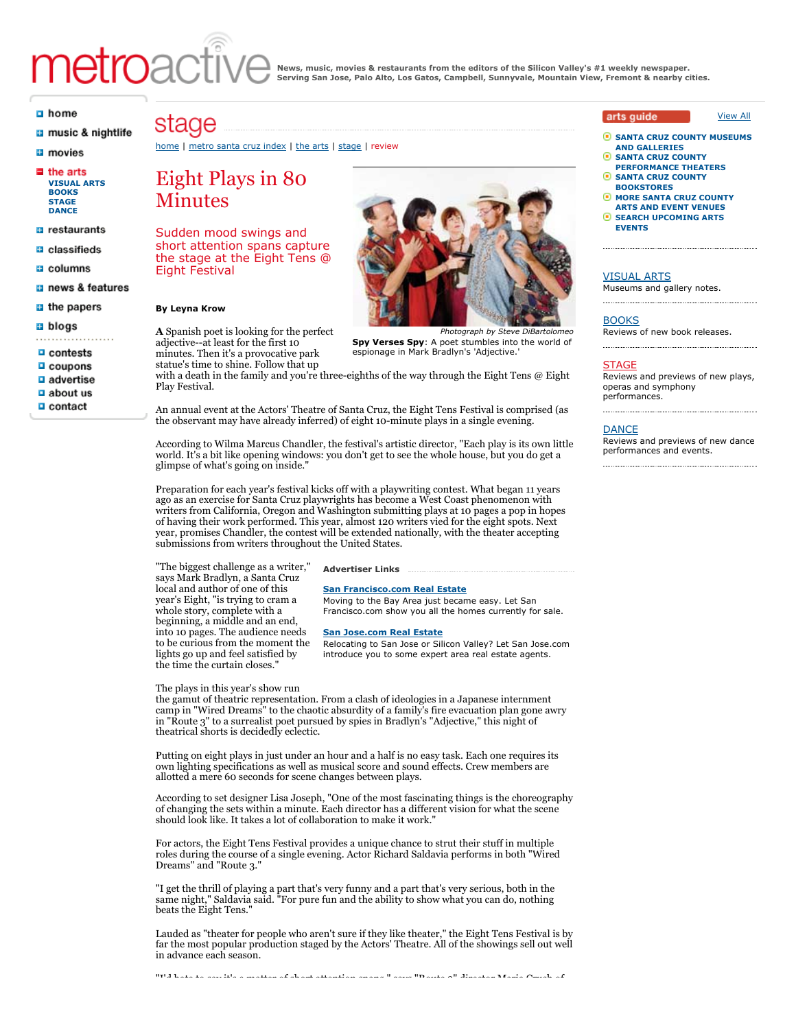# metroad

**News, music, movies & restaurants from the editors of the Silicon Valley's #1 weekly newspaper. Serving San Jose, Palo Alto, Los Gatos, Campbell, Sunnyvale, Mountain View, Fremont & nearby cities.**

#### $\Box$  home

- **a** music & nightlife
- **El** movies
- $\blacksquare$  the arts **[VISUAL ARTS](http://www.metroactive.com/the_arts/silicon-valley/visualarts.html) [BOOKS](http://www.metroactive.com/the_arts/silicon-valley/books.html) [STAGE](http://www.metroactive.com/the_arts/silicon-valley/stage.html) [DANCE](http://www.metroactive.com/the_arts/silicon-valley/dance.html)**
- **B** restaurants
- **B** classifieds
- a columns
- a news & features
- $\blacksquare$  the papers
- $a$  blogs
- 
- $\Box$  contests  $\Box$  coupons
- $\Box$  advertise
- $a$  about us
- $\Box$  contact

## stage

#### [home](http://www.metroactive.com/index.html) | [metro santa cruz index](http://www.metroactive.com/metro-santa-cruz/01.11.06/index.html) | [the arts](http://www.metroactive.com/the_arts/santa-cruz.html) | [stage](http://www.metroactive.com/the_arts/santa-cruz/stage.html) | review

### Eight Plays in 80 Minutes

Sudden mood swings and short attention spans capture the stage at the Eight Tens @ Eight Festival

#### **By Leyna Krow**

**A** Spanish poet is looking for the perfect adjective--at least for the first 10 minutes. Then it's a provocative park statue's time to shine. Follow that up

espionage in Mark Bradlyn's 'Adjective.'

**Spy Verses Spy**: A poet stumbles into the world of

with a death in the family and you're three-eighths of the way through the Eight Tens @ Eight Play Festival.

An annual event at the Actors' Theatre of Santa Cruz, the Eight Tens Festival is comprised (as the observant may have already inferred) of eight 10-minute plays in a single evening.

According to Wilma Marcus Chandler, the festival's artistic director, "Each play is its own little world. It's a bit like opening windows: you don't get to see the whole house, but you do get a glimpse of what's going on inside."

Preparation for each year's festival kicks off with a playwriting contest. What began 11 years ago as an exercise for Santa Cruz playwrights has become a West Coast phenomenon with writers from California, Oregon and Washington submitting plays at 10 pages a pop in hopes of having their work performed. This year, almost 120 writers vied for the eight spots. Next year, promises Chandler, the contest will be extended nationally, with the theater accepting submissions from writers throughout the United States.

**Advertiser Links**

**[San Francisco.com Real Estate](http://www.sanfrancisco.com/realestate/)**

**[San Jose.com Real Estate](http://www.sanjose.com/realestate/)**

Moving to the Bay Area just became easy. Let San Francisco.com show you all the homes currently for sale.

Relocating to San Jose or Silicon Valley? Let San Jose.com introduce you to some expert area real estate agents.

"The biggest challenge as a writer," says Mark Bradlyn, a Santa Cruz local and author of one of this year's Eight, "is trying to cram a whole story, complete with a beginning, a middle and an end, into 10 pages. The audience needs to be curious from the moment the lights go up and feel satisfied by the time the curtain closes."

theatrical shorts is decidedly eclectic.

#### The plays in this year's show run the gamut of theatric representation. From a clash of ideologies in a Japanese internment camp in "Wired Dreams" to the chaotic absurdity of a family's fire evacuation plan gone awry in "Route 3" to a surrealist poet pursued by spies in Bradlyn's "Adjective," this night of

Putting on eight plays in just under an hour and a half is no easy task. Each one requires its own lighting specifications as well as musical score and sound effects. Crew members are allotted a mere 60 seconds for scene changes between plays.

According to set designer Lisa Joseph, "One of the most fascinating things is the choreography of changing the sets within a minute. Each director has a different vision for what the scene should look like. It takes a lot of collaboration to make it work."

For actors, the Eight Tens Festival provides a unique chance to strut their stuff in multiple roles during the course of a single evening. Actor Richard Saldavia performs in both "Wired Dreams" and "Route 3."

"I get the thrill of playing a part that's very funny and a part that's very serious, both in the same night," Saldavia said. "For pure fun and the ability to show what you can do, nothing beats the Eight Tens."

Lauded as "theater for people who aren't sure if they like theater," the Eight Tens Festival is by far the most popular production staged by the Actors' Theatre. All of the showings sell out well in advance each season.

"I'd hate to say it's a matter of short attention spans," says "Route 3" director Maria Crush of

#### arts quide

◉ **[SANTA CRUZ COUNTY MUSEUMS](http://calendar.metroactive.com/calendar/LocationSearch.html?category=oid%3A14918&RegionCity=oid%3A5718&searchPhrase=) AND GALLERIES**

[View All](http://www.metroactive.com/the_arts/santa-cruz.html)

- G **SANTA CRUZ COUNTY [PERFORMANCE THEATERS](http://calendar.metroactive.com/calendar/LocationSearch.html?category=oid%3A14919&RegionCity=oid%3A5718&searchPhrase=)**
- o **[SANTA CRUZ COUNTY](http://calendar.metroactive.com/calendar/LocationSearch.html?category=oid%3A14927&RegionCity=oid%3A5718&searchPhrase=) BOOKSTORES**
- **[MORE SANTA CRUZ COUNTY](http://calendar.metroactive.com/calendar/LocationSearch.html?category=&RegionCity=oid%3A5718&searchPhrase=) ARTS AND EVENT VENUES**
- **[SEARCH UPCOMING ARTS](http://calendar.metroactive.com/calendar/Events?StartDate=All&EventCategory=&RegionCity=oid%3A5718&searchPhrase=) EVENTS**

#### [VISUAL ARTS](http://www.metroactive.com/the_arts/santa-cruz/visualarts.html)

Museums and gallery notes.

#### **[BOOKS](http://www.metroactive.com/the_arts/santa-cruz/books.html)**

Reviews of new book releases.

#### **[STAGE](http://www.metroactive.com/the_arts/santa-cruz/stage.html)**

Reviews and previews of new plays, operas and symphony performances.

#### [DANCE](http://www.metroactive.com/the_arts/santa-cruz/dance.html)

Reviews and previews of new dance performances and events.



*Photograph by Steve DiBartolomeo*